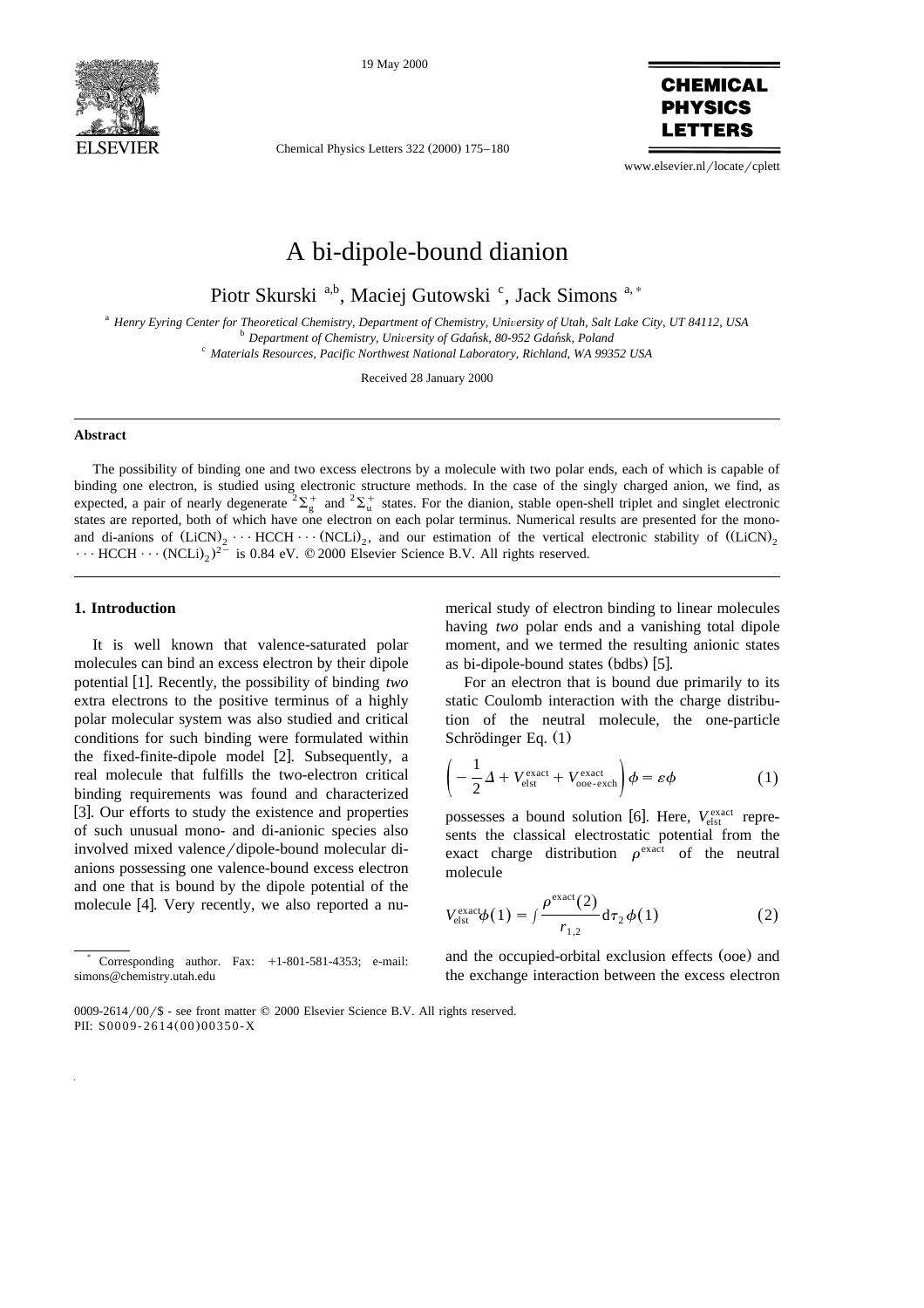

19 May 2000



Chemical Physics Letters 322 (2000) 175–180

www.elsevier.nl/locate/cplett

# A bi-dipole-bound dianion

Piotr Skurski<sup>a,b</sup>, Maciej Gutowski<sup>c</sup>, Jack Simons<sup>a,\*</sup>

<sup>a</sup> Henry Eyring Center for Theoretical Chemistry, Department of Chemistry, University of Utah, Salt Lake City, UT 84112, USA<br><sup>b</sup> Department of Chemistry, University of Gdańsk, 80-952 Gdańsk, Poland<br><sup>c</sup> Materials Resource

Received 28 January 2000

#### **Abstract**

The possibility of binding one and two excess electrons by a molecule with two polar ends, each of which is capable of binding one electron, is studied using electronic structure methods. In the case of the singly charged anion, we find, as expected, a pair of nearly degenerate  ${}^2\Sigma_g^+$  and  ${}^2\Sigma_u^+$  states. For the dianion, stable open-shell triplet and singlet electronic states are reported, both of which have one electron on each polar terminus. Numerical results are presented for the monoand di-anions of  $(LicN)_2 \cdots HCCH \cdots (NCLi)_2$ , and our estimation of the vertical electronic stability of  $(LicN)_2$  $\cdots$  HCCH  $\cdots$  (NCLi)<sub>2</sub>)<sup>2-</sup> is 0.84 eV. © 2000 Elsevier Science B.V. All rights reserved.

## **1. Introduction**

It is well known that valence-saturated polar molecules can bind an excess electron by their dipole potential [1]. Recently, the possibility of binding two extra electrons to the positive terminus of a highly polar molecular system was also studied and critical conditions for such binding were formulated within the fixed-finite-dipole model  $[2]$ . Subsequently, a real molecule that fulfills the two-electron critical binding requirements was found and characterized [3]. Our efforts to study the existence and properties of such unusual mono- and di-anionic species also involved mixed valence/dipole-bound molecular dianions possessing one valence-bound excess electron and one that is bound by the dipole potential of the molecule [4]. Very recently, we also reported a nu-

Corresponding author. Fax:  $+1-801-581-4353$ ; e-mail: simons@chemistry.utah.edu

merical study of electron binding to linear molecules having *two* polar ends and a vanishing total dipole moment, and we termed the resulting anionic states as bi-dipole-bound states  $(bdbs)$  [5].

For an electron that is bound due primarily to its static Coulomb interaction with the charge distribution of the neutral molecule, the one-particle Schrödinger Eq.  $(1)$ 

$$
\left(-\frac{1}{2}\Delta + V_{\text{elst}}^{\text{exact}} + V_{\text{ooe-exch}}^{\text{exact}}\right)\phi = \varepsilon\phi\tag{1}
$$

possesses a bound solution [6]. Here,  $V_{\text{elst}}^{\text{exact}}$  represents the classical electrostatic potential from the exact charge distribution  $\rho^{\text{exact}}$  of the neutral molecule

$$
V_{\text{elst}}^{\text{exact}}\phi(1) = \int \frac{\rho^{\text{exact}}(2)}{r_{1,2}} d\tau_2 \phi(1) \tag{2}
$$

and the occupied-orbital exclusion effects (ooe) and the exchange interaction between the excess electron

<sup>0009-2614/00/\$ -</sup> see front matter  $©$  2000 Elsevier Science B.V. All rights reserved. PII: S0009-2614(00)00350-X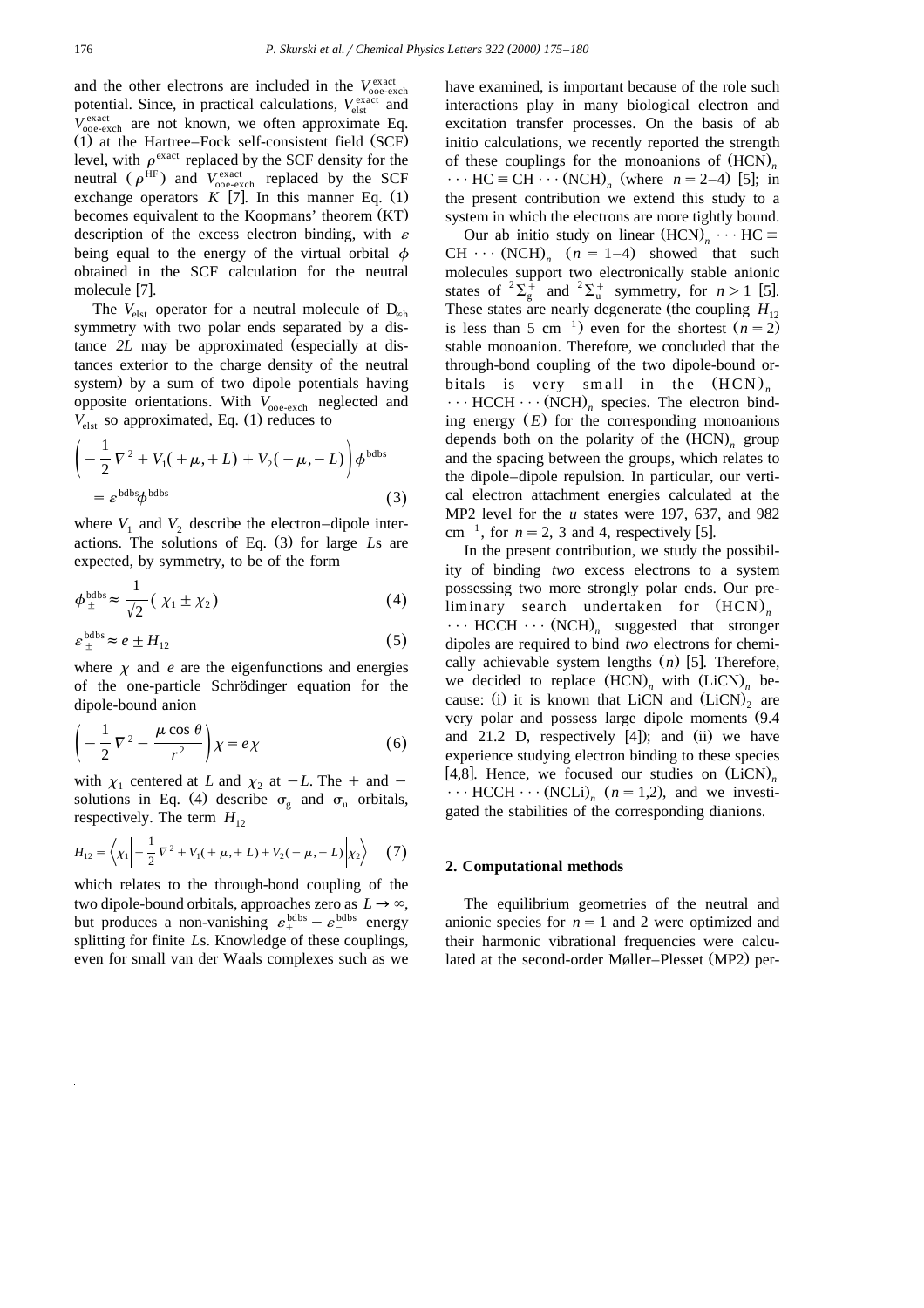and the other electrons are included in the  $V_{\text{ooe-exch}}^{\text{exact}}$ potential. Since, in practical calculations,  $V_{\text{elst}}^{\text{exact}}$  and  $V_{\text{ooe-exch}}^{exact}$  are not known, we often approximate Eq.  $(1)$  at the Hartree–Fock self-consistent field  $(SCF)$ level, with  $\rho^{\text{exact}}$  replaced by the SCF density for the neutral  $(\rho^{\text{HF}})$  and  $V_{\text{ooe-exch}}$  replaced by the SCF exchange operators  $K$  [7]. In this manner Eq. (1) becomes equivalent to the Koopmans' theorem (KT) description of the excess electron binding, with  $\varepsilon$ being equal to the energy of the virtual orbital  $\phi$ obtained in the SCF calculation for the neutral molecule [7].

The  $V_{\text{elst}}$  operator for a neutral molecule of  $D_{\infty h}$ symmetry with two polar ends separated by a distance *2L* may be approximated (especially at distances exterior to the charge density of the neutral system) by a sum of two dipole potentials having opposite orientations. With  $V_{\text{ooe-exch}}$  neglected and  $V_{\text{elst}}$  so approximated, Eq. (1) reduces to

$$
\left(-\frac{1}{2}\nabla^2 + V_1(+\mu, + L) + V_2(-\mu, -L)\right)\phi^{\text{bdbs}}\n= \varepsilon^{\text{bdbs}}\phi^{\text{bdbs}}\n\tag{3}
$$

where  $V_1$  and  $V_2$  describe the electron–dipole interactions. The solutions of Eq. (3) for large Ls are expected, by symmetry, to be of the form

$$
\phi_{\pm}^{\text{bdbs}} \approx \frac{1}{\sqrt{2}} \left( \chi_1 \pm \chi_2 \right) \tag{4}
$$

$$
\varepsilon_{\pm}^{\text{bdbs}} \approx e \pm H_{12} \tag{5}
$$

where  $\chi$  and *e* are the eigenfunctions and energies of the one-particle Schrödinger equation for the dipole-bound anion

$$
\left(-\frac{1}{2}\nabla^2 - \frac{\mu\cos\theta}{r^2}\right)\chi = e\chi\tag{6}
$$

with  $\chi_1$  centered at *L* and  $\chi_2$  at  $-L$ . The + and  $$ solutions in Eq. (4) describe  $\sigma_{\rm g}$  and  $\sigma_{\rm u}$  orbitals, respectively. The term  $H_{12}$ 

$$
H_{12} = \left\langle \chi_1 \middle| -\frac{1}{2} \nabla^2 + V_1(+\mu, + L) + V_2(-\mu, -L) \middle| \chi_2 \right\rangle \tag{7}
$$

which relates to the through-bond coupling of the two dipole-bound orbitals, approaches zero as  $L \rightarrow \infty$ , but produces a non-vanishing  $\varepsilon_{+}^{\text{bdbs}} - \varepsilon_{-}^{\text{bdbs}}$  energy splitting for finite *L*s. Knowledge of these couplings, even for small van der Waals complexes such as we

have examined, is important because of the role such interactions play in many biological electron and excitation transfer processes. On the basis of ab initio calculations, we recently reported the strength of these couplings for the monoanions of  $(HCN)$ .  $\cdots$  HC  $\equiv$  CH  $\cdots$  (NCH)<sub>n</sub> (where *n* = 2–4) [5]; in the present contribution we extend this study to a system in which the electrons are more tightly bound.

Our ab initio study on linear  $(HCN)_n \cdots HC$ CH  $\cdots$  (NCH)<sub>n</sub>  $(n = 1-4)$  showed that such molecules support two electronically stable anionic states of  ${}^{2}\Sigma_{g}^{+}$  and  ${}^{2}\Sigma_{u}^{+}$  symmetry, for  $n > 1$  [5]. These states are nearly degenerate (the coupling  $H_{12}$  is less than 5 cm<sup>-1</sup>) even for the shortest  $(n = 2)$ stable monoanion. Therefore, we concluded that the through-bond coupling of the two dipole-bound orbitals is very small in the  $(HCN)_n$  $\cdots$  HCCH  $\cdots$  (NCH)<sub>n</sub> species. The electron binding energy  $(E)$  for the corresponding monoanions depends both on the polarity of the  $(HCN)$ <sub>n</sub> group and the spacing between the groups, which relates to the dipole–dipole repulsion. In particular, our vertical electron attachment energies calculated at the MP2 level for the *u* states were 197, 637, and 982 cm<sup>-1</sup>, for  $n = 2$ , 3 and 4, respectively [5].

In the present contribution, we study the possibility of binding *two* excess electrons to a system possessing two more strongly polar ends. Our preliminary search undertaken for  $(HCN)$ <sub>n</sub>  $\cdots$  HCCH  $\cdots$  (NCH)<sub>n</sub> suggested that stronger dipoles are required to bind *two* electrons for chemically achievable system lengths (n) [5]. Therefore, we decided to replace  $(HCN)$ <sub>n</sub> with  $(LicN)$ <sub>n</sub> because: (i) it is known that LiCN and  $(LiCN)$  are very polar and possess large dipole moments  $(9.4)$ and 21.2 D, respectively  $[4]$ ; and  $(ii)$  we have experience studying electron binding to these species [4,8]. Hence, we focused our studies on  $(LicN)_n$  $\cdots$  HCCH  $\cdots$  (NCLi)<sub>n</sub> ( $n = 1,2$ ), and we investigated the stabilities of the corresponding dianions.

## **2. Computational methods**

The equilibrium geometries of the neutral and anionic species for  $n = 1$  and 2 were optimized and their harmonic vibrational frequencies were calculated at the second-order Møller–Plesset (MP2) per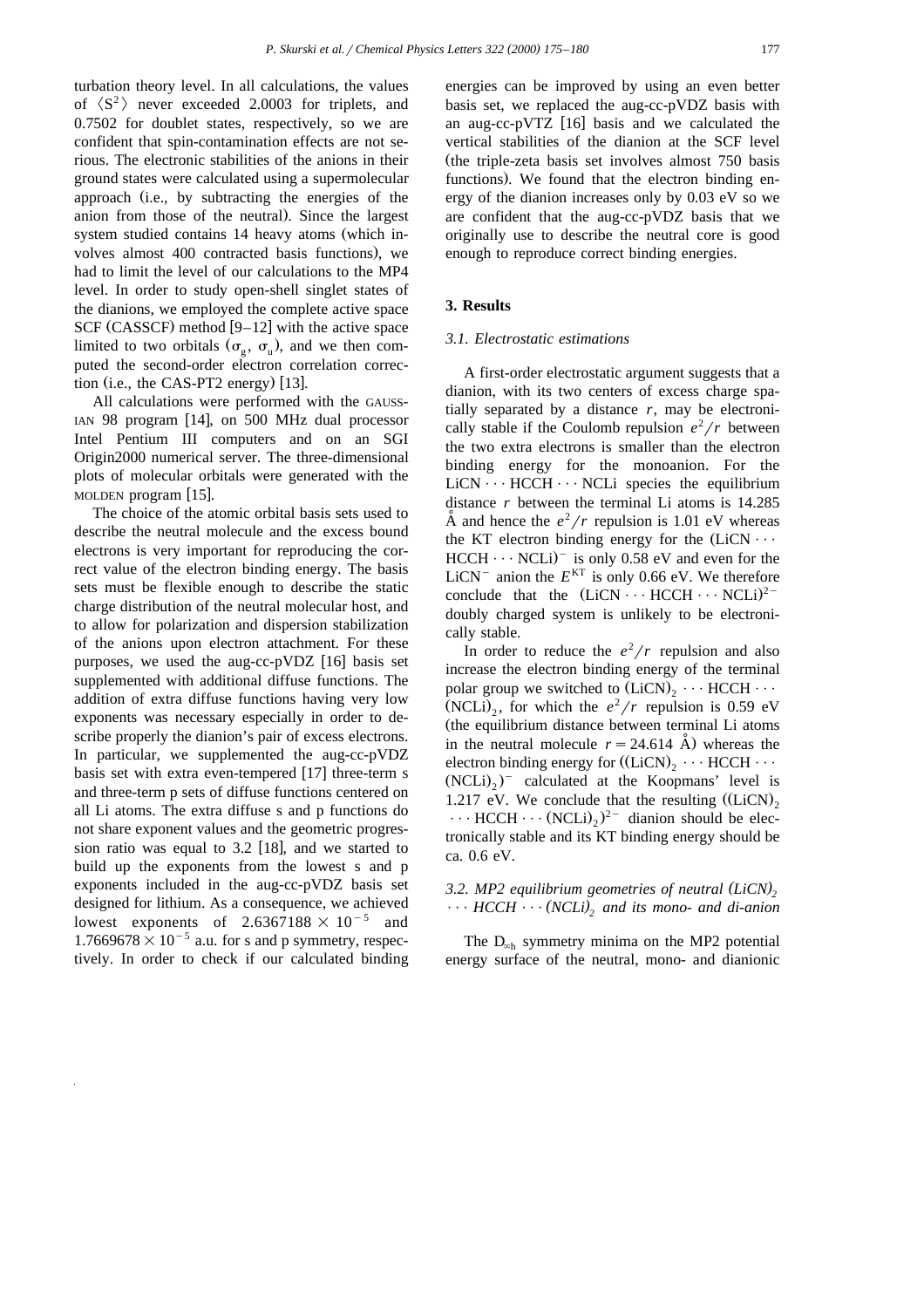turbation theory level. In all calculations, the values of  $\langle S^2 \rangle$  never exceeded 2.0003 for triplets, and 0.7502 for doublet states, respectively, so we are confident that spin-contamination effects are not serious. The electronic stabilities of the anions in their ground states were calculated using a supermolecular approach (i.e., by subtracting the energies of the anion from those of the neutral). Since the largest system studied contains 14 heavy atoms (which involves almost 400 contracted basis functions), we had to limit the level of our calculations to the MP4 level. In order to study open-shell singlet states of the dianions, we employed the complete active space SCF (CASSCF) method  $[9-12]$  with the active space limited to two orbitals  $(\sigma_{\varphi}, \sigma_{\varphi})$ , and we then computed the second-order electron correlation correction (i.e., the CAS-PT2 energy)  $[13]$ .

All calculations were performed with the GAUSS-IAN 98 program  $[14]$ , on 500 MHz dual processor Intel Pentium III computers and on an SGI Origin2000 numerical server. The three-dimensional plots of molecular orbitals were generated with the MOLDEN program  $[15]$ .

The choice of the atomic orbital basis sets used to describe the neutral molecule and the excess bound electrons is very important for reproducing the correct value of the electron binding energy. The basis sets must be flexible enough to describe the static charge distribution of the neutral molecular host, and to allow for polarization and dispersion stabilization of the anions upon electron attachment. For these purposes, we used the aug-cc-pVDZ  $[16]$  basis set supplemented with additional diffuse functions. The addition of extra diffuse functions having very low exponents was necessary especially in order to describe properly the dianion's pair of excess electrons. In particular, we supplemented the aug-cc-pVDZ basis set with extra even-tempered  $[17]$  three-term s and three-term p sets of diffuse functions centered on all Li atoms. The extra diffuse s and p functions do not share exponent values and the geometric progression ratio was equal to  $3.2$  [18], and we started to build up the exponents from the lowest s and p exponents included in the aug-cc-pVDZ basis set designed for lithium. As a consequence, we achieved lowest exponents of  $2.6367188 \times 10^{-5}$  and  $1.7669678\times10^{-5}$  a.u. for s and p symmetry, respectively. In order to check if our calculated binding

energies can be improved by using an even better basis set, we replaced the aug-cc-pVDZ basis with an aug-cc-pVTZ  $[16]$  basis and we calculated the vertical stabilities of the dianion at the SCF level (the triple-zeta basis set involves almost 750 basis functions). We found that the electron binding energy of the dianion increases only by 0.03 eV so we are confident that the aug-cc-pVDZ basis that we originally use to describe the neutral core is good enough to reproduce correct binding energies.

## **3. Results**

## *3.1. Electrostatic estimations*

A first-order electrostatic argument suggests that a dianion, with its two centers of excess charge spatially separated by a distance  $r$ , may be electronically stable if the Coulomb repulsion  $e^2/r$  between the two extra electrons is smaller than the electron binding energy for the monoanion. For the  $LiCN \cdots HCCH \cdots NCL$  species the equilibrium distance *r* between the terminal Li atoms is 14.285  $\AA$  and hence the  $e^2/r$  repulsion is 1.01 eV whereas the KT electron binding energy for the  $(LicN \cdots$  $HCCH \cdots NCLi$  is only 0.58 eV and even for the LiCN<sup>-</sup> anion the  $E<sup>KT</sup>$  is only 0.66 eV. We therefore conclude that the  $(LicN \cdots HCCH \cdots NCLi)^{2-}$ doubly charged system is unlikely to be electronically stable.

In order to reduce the  $e^2/r$  repulsion and also increase the electron binding energy of the terminal polar group we switched to  $(LicN)_2 \cdots HCCH \cdots$ (NCLi)<sub>2</sub>, for which the  $e^2/r$  repulsion is 0.59 eV (the equilibrium distance between terminal Li atoms in the neutral molecule  $r = 24.614$  Å) whereas the electron binding energy for  $((LiCN)_2 \cdots HCCH \cdots)$  $(NCLi)_{2})$ <sup>-</sup> calculated at the Koopmans' level is 1.217 eV. We conclude that the resulting  $(LicN)$ ,  $\cdots$  HCCH  $\cdots$  (NCLi)<sub>2</sub>)<sup>2-</sup> dianion should be electronically stable and its KT binding energy should be ca. 0.6 eV.

## 3.2. MP2 equilibrium geometries of neutral (LiCN),  $\cdots$  *HCCH*  $\cdots$  (*NCLi*), and its mono- and di-anion

The  $D_{\alpha h}$  symmetry minima on the MP2 potential energy surface of the neutral, mono- and dianionic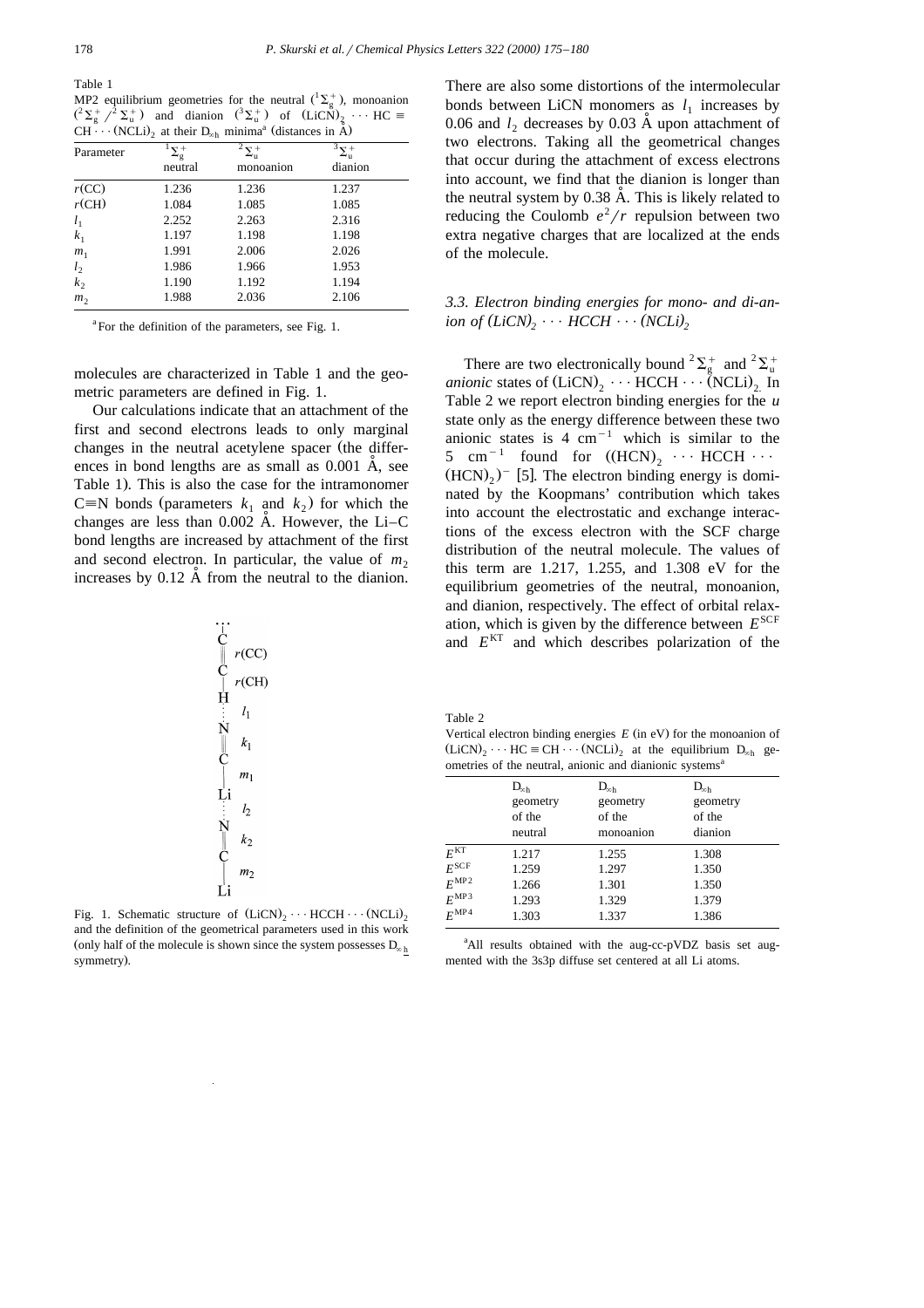Table 1

MP2 equilibrium geometries for the neutral  $({}^{1}\Sigma_{g}^{+})$ , monoanion  $({}^2\Sigma_g^+ \, / {}^2\Sigma_u^+)$  and dianion  $({}^3\Sigma_u^+)$  of  $(Li\tilde{CN})_2 \cdots HC =$  $CH^{\sim}(\overline{\text{NCLi}})$  at their  $D_{\text{sub}}$  minima<sup>a</sup> (distances in  $\hat{\hat{A}}$ )

| ັ້<br>$(1.62)$ at their $B_{\infty h}$ imminite (distances in 11) |                               |           |         |  |  |
|-------------------------------------------------------------------|-------------------------------|-----------|---------|--|--|
| Parameter                                                         | $\Sigma_{\rm g}^+$<br>neutral | monoanion | dianion |  |  |
| r(CC)                                                             | 1.236                         | 1.236     | 1.237   |  |  |
| $r$ (CH)                                                          | 1.084                         | 1.085     | 1.085   |  |  |
| $l_1$                                                             | 2.252                         | 2.263     | 2.316   |  |  |
| k <sub>1</sub>                                                    | 1.197                         | 1.198     | 1.198   |  |  |
| m <sub>1</sub>                                                    | 1.991                         | 2.006     | 2.026   |  |  |
| l <sub>2</sub>                                                    | 1.986                         | 1.966     | 1.953   |  |  |
| k <sub>2</sub>                                                    | 1.190                         | 1.192     | 1.194   |  |  |
| m <sub>2</sub>                                                    | 1.988                         | 2.036     | 2.106   |  |  |

<sup>a</sup>For the definition of the parameters, see Fig. 1.

molecules are characterized in Table 1 and the geometric parameters are defined in Fig. 1.

Our calculations indicate that an attachment of the first and second electrons leads to only marginal changes in the neutral acetylene spacer (the differences in bond lengths are as small as  $0.001$  A, see Table 1). This is also the case for the intramonomer C=N bonds (parameters  $k_1$  and  $k_2$ ) for which the changes are less than  $0.002$  A. However, the Li–C bond lengths are increased by attachment of the first and second electron. In particular, the value of  $m<sub>2</sub>$ increases by  $0.12 \text{ Å}$  from the neutral to the dianion.

$$
\begin{array}{c}\nC \\
C \\
C\n\end{array}\n\begin{array}{c}\nr(C) \\
r(C)\n\end{array}\n\begin{array}{c}\nr(C) \\
I_1 \\
\vdots \\
N\n\end{array}\n\begin{array}{c}\nI_1 \\
k_1 \\
\vdots \\
k_n\n\end{array}\n\end{array}
$$

Fig. 1. Schematic structure of  $(LicN)$ ,  $\cdots$  HCCH $\cdots$  (NCLi), and the definition of the geometrical parameters used in this work (only half of the molecule is shown since the system possesses  $D_{\infty h}$ symmetry).

There are also some distortions of the intermolecular bonds between LiCN monomers as  $l_1$  increases by 0.06 and  $l_2$  decreases by 0.03  $\AA$  upon attachment of two electrons. Taking all the geometrical changes that occur during the attachment of excess electrons into account, we find that the dianion is longer than the neutral system by  $0.38 \text{ Å}$ . This is likely related to reducing the Coulomb  $e^2/r$  repulsion between two extra negative charges that are localized at the ends of the molecule.

# *3.3. Electron binding energies for mono- and di-anion of*  $(LiCN)$   $\cdots$  *HCCH*  $\cdots$  (*NCLi*)<sub>2</sub>

There are two electronically bound  ${}^{2}\Sigma_{g}^{+}$  and  ${}^{2}\Sigma_{u}^{+}$ *anionic* states of  $(LicN)_2 \cdots HCCH \cdots (NCLi)_2$ . In Table 2 we report electron binding energies for the *u* state only as the energy difference between these two anionic states is 4 cm<sup>-1</sup> which is similar to the 5 cm<sup>-1</sup> found for  $((HCN)$ ,  $\cdots$  HCCH  $\cdots$  $(HCN)_{2}$ <sup>-</sup> [5]. The electron binding energy is dominated by the Koopmans' contribution which takes into account the electrostatic and exchange interactions of the excess electron with the SCF charge distribution of the neutral molecule. The values of this term are 1.217, 1.255, and 1.308 eV for the equilibrium geometries of the neutral, monoanion, and dianion, respectively. The effect of orbital relaxation, which is given by the difference between  $E^{\text{SCF}}$ and *E*KT and which describes polarization of the

Table 2

Vertical electron binding energies  $E$  (in eV) for the monoanion of  $(LicN)$ ,  $\cdots$  HC = CH  $\cdots$  (NCLi), at the equilibrium D<sub>∞h</sub> geometries of the neutral, anionic and dianionic systems<sup>a</sup>

|                  | $D_{\infty h}$ | $D_{\infty h}$ | $D_{\infty h}$ |  |  |
|------------------|----------------|----------------|----------------|--|--|
|                  | geometry       | geometry       | geometry       |  |  |
|                  | of the         | of the         | of the         |  |  |
|                  | neutral        | monoanion      | dianion        |  |  |
| $E^{\rm KT}$     | 1.217          | 1.255          | 1.308          |  |  |
| $E^{\rm SCF}$    | 1.259          | 1.297          | 1.350          |  |  |
| $E^{\text{MP2}}$ | 1.266          | 1.301          | 1.350          |  |  |
| $E^{\text{MP3}}$ | 1.293          | 1.329          | 1.379          |  |  |
| $E^{\rm MP4}$    | 1.303          | 1.337          | 1.386          |  |  |
|                  |                |                |                |  |  |

<sup>a</sup>All results obtained with the aug-cc-pVDZ basis set augmented with the 3s3p diffuse set centered at all Li atoms.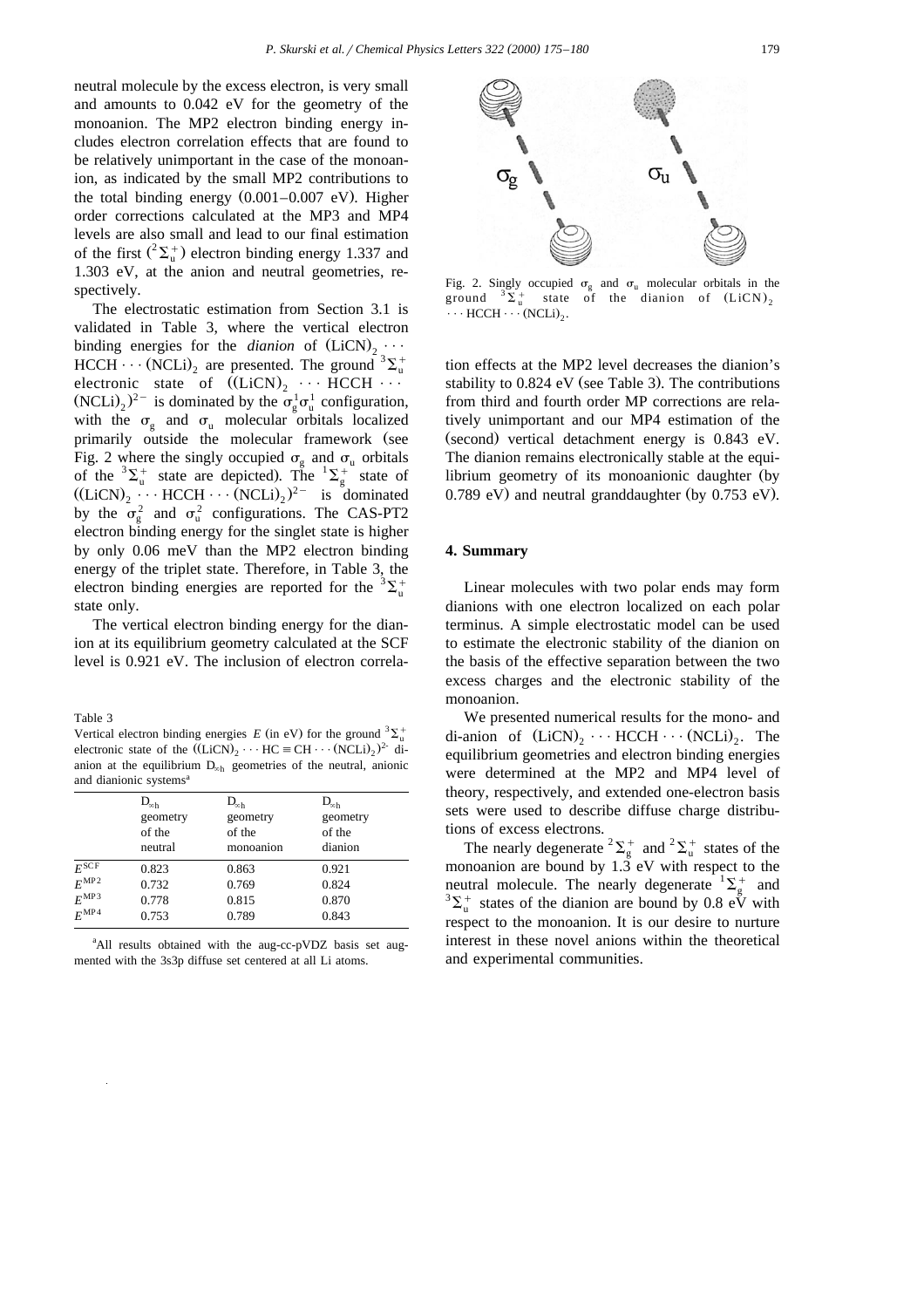neutral molecule by the excess electron, is very small and amounts to 0.042 eV for the geometry of the monoanion. The MP2 electron binding energy includes electron correlation effects that are found to be relatively unimportant in the case of the monoanion, as indicated by the small MP2 contributions to the total binding energy  $(0.001-0.007 \text{ eV})$ . Higher order corrections calculated at the MP3 and MP4 levels are also small and lead to our final estimation of the first  $({}^2\Sigma_u^+)$  electron binding energy 1.337 and 1.303 eV, at the anion and neutral geometries, respectively.

The electrostatic estimation from Section 3.1 is validated in Table 3, where the vertical electron binding energies for the *dianion* of  $(LicN)$ ,  $\cdots$ HCCH  $\cdots$  (NCLi)<sub>2</sub> are presented. The ground <sup>3</sup> $\Sigma_{\rm u}^{+}$ electronic state of  $(LicN)_2 \cdots HCCH \cdots$  $(NCLi)_2$ <sup>2-</sup> is dominated by the  $\sigma_g^1 \sigma_u^1$  configuration, with the  $\sigma_{\rm g}$  and  $\sigma_{\rm n}$  molecular orbitals localized primarily outside the molecular framework (see Fig. 2 where the singly occupied  $\sigma_g$  and  $\sigma_u$  orbitals of the  ${}^3\Sigma_u^+$  state are depicted). The  ${}^1\Sigma_g^+$  state of  $((LiCN)<sub>2</sub> \cdots HCCH \cdots (NCLi)<sub>2</sub>)<sup>2-</sup>$  is dominated by the  $\sigma_{\rm g}^2$  and  $\sigma_{\rm u}^2$  configurations. The CAS-PT2 electron binding energy for the singlet state is higher by only 0.06 meV than the MP2 electron binding energy of the triplet state. Therefore, in Table 3, the electron binding energies are reported for the  ${}^{3}\Sigma_{u}^{+}$ state only.

The vertical electron binding energy for the dianion at its equilibrium geometry calculated at the SCF level is 0.921 eV. The inclusion of electron correla-

Table 3

Vertical electron binding energies *E* (in eV) for the ground  ${}^{3}\Sigma_{n}^{+}$ electronic state of the  $((LiCN)_2 \cdots HC \equiv CH \cdots (NCLi)_2)^2$  dianion at the equilibrium  $D_{\infty h}$  geometries of the neutral, anionic and dianionic systems<sup>a</sup>

|                  | $D_{\infty h}$ | $D_{\infty h}$ | $D_{\infty h}$ |  |  |
|------------------|----------------|----------------|----------------|--|--|
|                  | geometry       | geometry       | geometry       |  |  |
|                  | of the         | of the         | of the         |  |  |
|                  | neutral        | monoanion      | dianion        |  |  |
| $E^{\rm SCF}$    | 0.823          | 0.863          | 0.921          |  |  |
| $E^{\text{MP2}}$ | 0.732          | 0.769          | 0.824          |  |  |
| $E^{\text{MP}3}$ | 0.778          | 0.815          | 0.870          |  |  |
| $E^{\text{MP4}}$ | 0.753          | 0.789          | 0.843          |  |  |
|                  |                |                |                |  |  |

<sup>a</sup>All results obtained with the aug-cc-pVDZ basis set augmented with the 3s3p diffuse set centered at all Li atoms.



Fig. 2. Singly occupied  $\sigma_{\rm g}$  and  $\sigma_{\rm u}$  molecular orbitals in the ground  ${}^{3}\Sigma_{\mathrm{u}}^{+}$  state of the dianion of  $(LiCN)_{2}$  $\cdots$  HCCH  $\cdots$  (NCLi)<sub>2</sub>.

tion effects at the MP2 level decreases the dianion's stability to  $0.824$  eV (see Table 3). The contributions from third and fourth order MP corrections are relatively unimportant and our MP4 estimation of the  $(second)$  vertical detachment energy is  $0.843$  eV. The dianion remains electronically stable at the equilibrium geometry of its monoanionic daughter (by  $0.789$  eV) and neutral granddaughter (by  $0.753$  eV).

## **4. Summary**

Linear molecules with two polar ends may form dianions with one electron localized on each polar terminus. A simple electrostatic model can be used to estimate the electronic stability of the dianion on the basis of the effective separation between the two excess charges and the electronic stability of the monoanion.

We presented numerical results for the mono- and di-anion of  $(LicN)_2 \cdots HCCH \cdots (NCLi)_2$ . The equilibrium geometries and electron binding energies were determined at the MP2 and MP4 level of theory, respectively, and extended one-electron basis sets were used to describe diffuse charge distributions of excess electrons.

The nearly degenerate  ${}^{2}\Sigma_{g}^{+}$  and  ${}^{2}\Sigma_{u}^{+}$  states of the monoanion are bound by  $1.\overline{3}$  eV with respect to the neutral molecule. The nearly degenerate  ${}^{1}\Sigma_{g}^{+}$  and  ${}^{3}\Sigma^{+}$  extends of the dignity are hound by 0.8  ${}^{5}$   $\overline{N}$  with  $\Sigma_u^+$  states of the dianion are bound by 0.8 eV with respect to the monoanion. It is our desire to nurture interest in these novel anions within the theoretical and experimental communities.